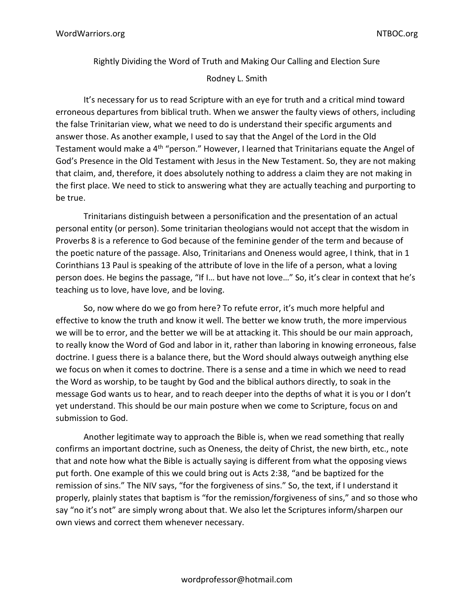Rightly Dividing the Word of Truth and Making Our Calling and Election Sure Rodney L. Smith

It's necessary for us to read Scripture with an eye for truth and a critical mind toward erroneous departures from biblical truth. When we answer the faulty views of others, including the false Trinitarian view, what we need to do is understand their specific arguments and answer those. As another example, I used to say that the Angel of the Lord in the Old Testament would make a 4<sup>th</sup> "person." However, I learned that Trinitarians equate the Angel of God's Presence in the Old Testament with Jesus in the New Testament. So, they are not making that claim, and, therefore, it does absolutely nothing to address a claim they are not making in the first place. We need to stick to answering what they are actually teaching and purporting to be true.

Trinitarians distinguish between a personification and the presentation of an actual personal entity (or person). Some trinitarian theologians would not accept that the wisdom in Proverbs 8 is a reference to God because of the feminine gender of the term and because of the poetic nature of the passage. Also, Trinitarians and Oneness would agree, I think, that in 1 Corinthians 13 Paul is speaking of the attribute of love in the life of a person, what a loving person does. He begins the passage, "If I… but have not love…" So, it's clear in context that he's teaching us to love, have love, and be loving.

So, now where do we go from here? To refute error, it's much more helpful and effective to know the truth and know it well. The better we know truth, the more impervious we will be to error, and the better we will be at attacking it. This should be our main approach, to really know the Word of God and labor in it, rather than laboring in knowing erroneous, false doctrine. I guess there is a balance there, but the Word should always outweigh anything else we focus on when it comes to doctrine. There is a sense and a time in which we need to read the Word as worship, to be taught by God and the biblical authors directly, to soak in the message God wants us to hear, and to reach deeper into the depths of what it is you or I don't yet understand. This should be our main posture when we come to Scripture, focus on and submission to God.

Another legitimate way to approach the Bible is, when we read something that really confirms an important doctrine, such as Oneness, the deity of Christ, the new birth, etc., note that and note how what the Bible is actually saying is different from what the opposing views put forth. One example of this we could bring out is Acts 2:38, "and be baptized for the remission of sins." The NIV says, "for the forgiveness of sins." So, the text, if I understand it properly, plainly states that baptism is "for the remission/forgiveness of sins," and so those who say "no it's not" are simply wrong about that. We also let the Scriptures inform/sharpen our own views and correct them whenever necessary.